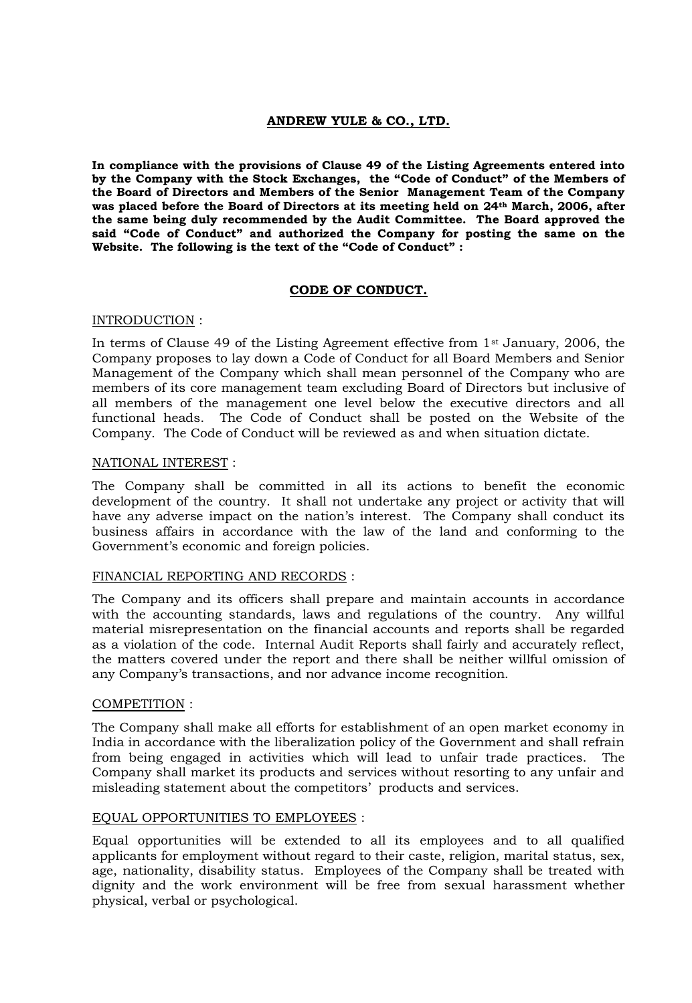# **ANDREW YULE & CO., LTD.**

**In compliance with the provisions of Clause 49 of the Listing Agreements entered into by the Company with the Stock Exchanges, the "Code of Conduct" of the Members of the Board of Directors and Members of the Senior Management Team of the Company was placed before the Board of Directors at its meeting held on 24th March, 2006, after the same being duly recommended by the Audit Committee. The Board approved the said "Code of Conduct" and authorized the Company for posting the same on the Website. The following is the text of the "Code of Conduct" :**

## **CODE OF CONDUCT.**

#### INTRODUCTION :

In terms of Clause 49 of the Listing Agreement effective from 1st January, 2006, the Company proposes to lay down a Code of Conduct for all Board Members and Senior Management of the Company which shall mean personnel of the Company who are members of its core management team excluding Board of Directors but inclusive of all members of the management one level below the executive directors and all functional heads. The Code of Conduct shall be posted on the Website of the Company. The Code of Conduct will be reviewed as and when situation dictate.

#### NATIONAL INTEREST :

The Company shall be committed in all its actions to benefit the economic development of the country. It shall not undertake any project or activity that will have any adverse impact on the nation's interest. The Company shall conduct its business affairs in accordance with the law of the land and conforming to the Government's economic and foreign policies.

#### FINANCIAL REPORTING AND RECORDS :

The Company and its officers shall prepare and maintain accounts in accordance with the accounting standards, laws and regulations of the country. Any willful material misrepresentation on the financial accounts and reports shall be regarded as a violation of the code. Internal Audit Reports shall fairly and accurately reflect, the matters covered under the report and there shall be neither willful omission of any Company's transactions, and nor advance income recognition.

#### COMPETITION :

The Company shall make all efforts for establishment of an open market economy in India in accordance with the liberalization policy of the Government and shall refrain from being engaged in activities which will lead to unfair trade practices. The Company shall market its products and services without resorting to any unfair and misleading statement about the competitors' products and services.

## EQUAL OPPORTUNITIES TO EMPLOYEES :

Equal opportunities will be extended to all its employees and to all qualified applicants for employment without regard to their caste, religion, marital status, sex, age, nationality, disability status. Employees of the Company shall be treated with dignity and the work environment will be free from sexual harassment whether physical, verbal or psychological.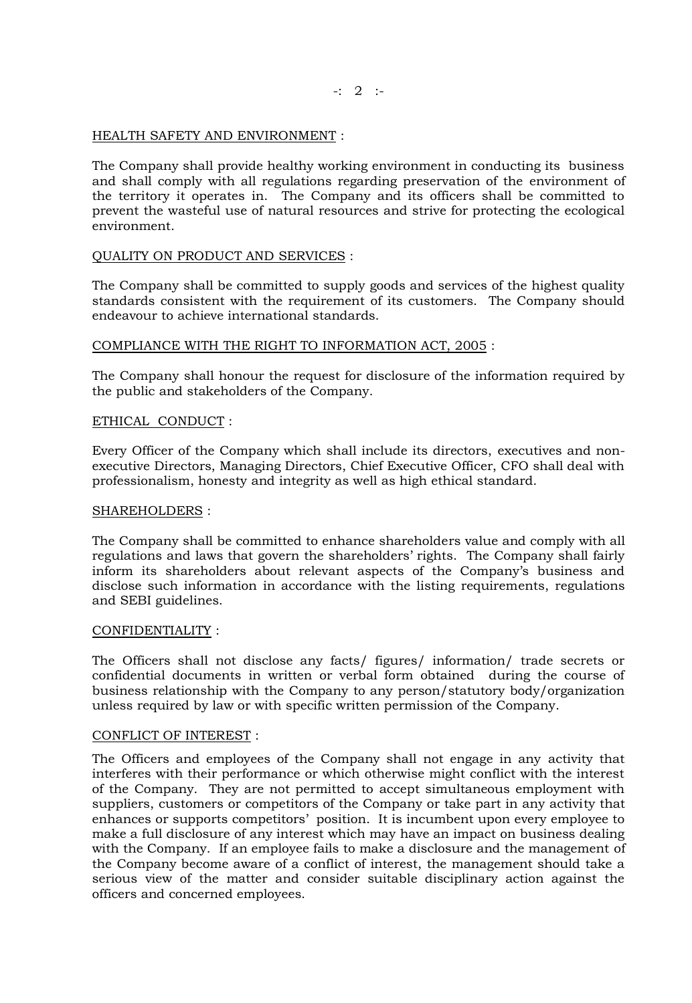$-$ : 2 :-

## HEALTH SAFETY AND ENVIRONMENT :

The Company shall provide healthy working environment in conducting its business and shall comply with all regulations regarding preservation of the environment of the territory it operates in. The Company and its officers shall be committed to prevent the wasteful use of natural resources and strive for protecting the ecological environment.

# QUALITY ON PRODUCT AND SERVICES :

The Company shall be committed to supply goods and services of the highest quality standards consistent with the requirement of its customers. The Company should endeavour to achieve international standards.

# COMPLIANCE WITH THE RIGHT TO INFORMATION ACT, 2005 :

The Company shall honour the request for disclosure of the information required by the public and stakeholders of the Company.

# ETHICAL CONDUCT :

Every Officer of the Company which shall include its directors, executives and nonexecutive Directors, Managing Directors, Chief Executive Officer, CFO shall deal with professionalism, honesty and integrity as well as high ethical standard.

## SHAREHOLDERS :

The Company shall be committed to enhance shareholders value and comply with all regulations and laws that govern the shareholders' rights. The Company shall fairly inform its shareholders about relevant aspects of the Company's business and disclose such information in accordance with the listing requirements, regulations and SEBI guidelines.

## CONFIDENTIALITY :

The Officers shall not disclose any facts/ figures/ information/ trade secrets or confidential documents in written or verbal form obtained during the course of business relationship with the Company to any person/statutory body/organization unless required by law or with specific written permission of the Company.

## CONFLICT OF INTEREST :

The Officers and employees of the Company shall not engage in any activity that interferes with their performance or which otherwise might conflict with the interest of the Company. They are not permitted to accept simultaneous employment with suppliers, customers or competitors of the Company or take part in any activity that enhances or supports competitors' position. It is incumbent upon every employee to make a full disclosure of any interest which may have an impact on business dealing with the Company. If an employee fails to make a disclosure and the management of the Company become aware of a conflict of interest, the management should take a serious view of the matter and consider suitable disciplinary action against the officers and concerned employees.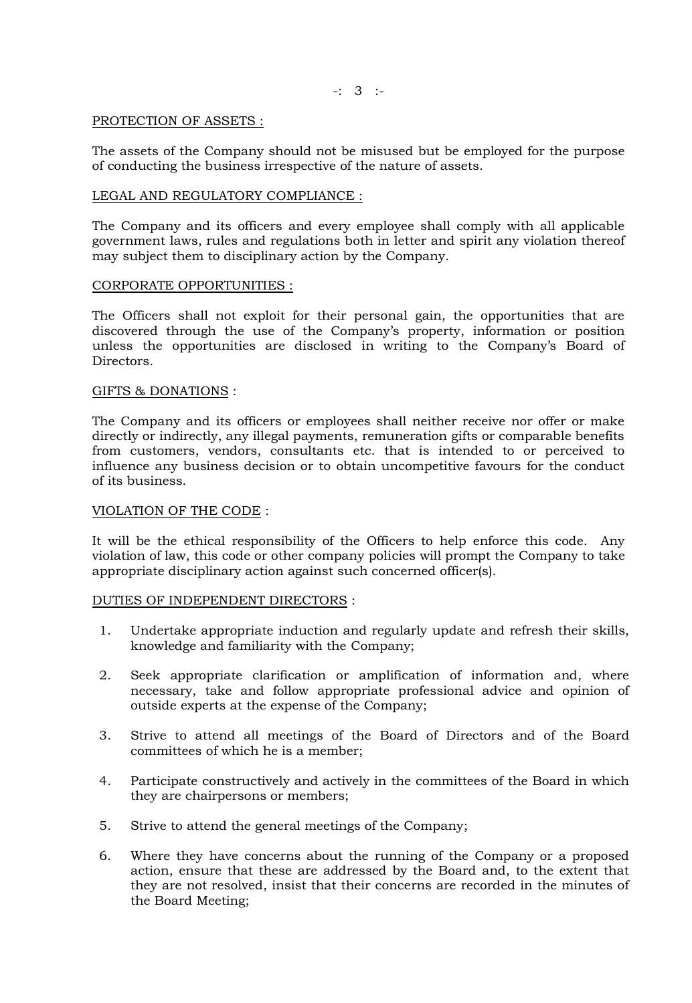-: 3 :-

#### PROTECTION OF ASSETS :

The assets of the Company should not be misused but be employed for the purpose of conducting the business irrespective of the nature of assets.

## LEGAL AND REGULATORY COMPLIANCE :

The Company and its officers and every employee shall comply with all applicable government laws, rules and regulations both in letter and spirit any violation thereof may subject them to disciplinary action by the Company.

#### CORPORATE OPPORTUNITIES :

The Officers shall not exploit for their personal gain, the opportunities that are discovered through the use of the Company's property, information or position unless the opportunities are disclosed in writing to the Company's Board of Directors.

#### GIFTS & DONATIONS :

The Company and its officers or employees shall neither receive nor offer or make directly or indirectly, any illegal payments, remuneration gifts or comparable benefits from customers, vendors, consultants etc. that is intended to or perceived to influence any business decision or to obtain uncompetitive favours for the conduct of its business.

#### VIOLATION OF THE CODE :

It will be the ethical responsibility of the Officers to help enforce this code. Any violation of law, this code or other company policies will prompt the Company to take appropriate disciplinary action against such concerned officer(s).

## DUTIES OF INDEPENDENT DIRECTORS :

- 1. Undertake appropriate induction and regularly update and refresh their skills, knowledge and familiarity with the Company;
- 2. Seek appropriate clarification or amplification of information and, where necessary, take and follow appropriate professional advice and opinion of outside experts at the expense of the Company;
- 3. Strive to attend all meetings of the Board of Directors and of the Board committees of which he is a member;
- 4. Participate constructively and actively in the committees of the Board in which they are chairpersons or members;
- 5. Strive to attend the general meetings of the Company;
- 6. Where they have concerns about the running of the Company or a proposed action, ensure that these are addressed by the Board and, to the extent that they are not resolved, insist that their concerns are recorded in the minutes of the Board Meeting;